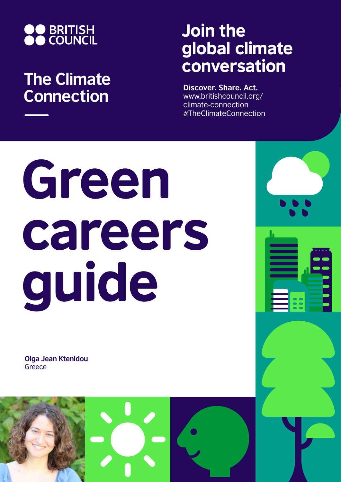

## **The Climate Connection**

## Join the global climate conversation

**Discover. Share. Act.** www.britishcouncil.org/ climate-connection #TheClimateConnection

# Green careers guide

**Olga Jean Ktenidou Greece** 

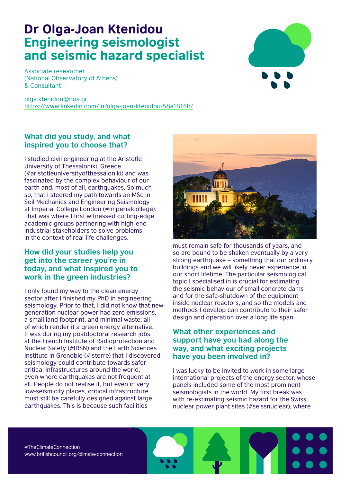### Dr Olga-Joan Ktenidou Engineering seismologist and seismic hazard specialist

Associate researcher (National Observatory of Athens) & Consultant

olga.ktenidou@noa.gr https://www.linkedin.com/in/olga-joan-ktenidou-58a1816b/

#### **What did you study, and what inspired you to choose that?**

I studied civil engineering at the Aristotle University of Thessaloniki, Greece (#aristotleuniversityofthessaloniki) and was fascinated by the complex behaviour of our earth and, most of all, earthquakes. So much so, that I steered my path towards an MSc in Soil Mechanics and Engineering Seismology at Imperial College London (#imperialcollege). That was where I first witnessed cutting-edge academic groups partnering with high-end industrial stakeholders to solve problems in the context of real-life challenges.

#### **How did your studies help you get into the career you're in today, and what inspired you to work in the green industries?**

I only found my way to the clean energy sector after I finished my PhD in engineering seismology. Prior to that, I did not know that newgeneration nuclear power had zero emissions, a small land footprint, and minimal waste; all of which render it a green energy alternative. It was during my postdoctoral research jobs at the French Institute of Radioprotection and Nuclear Safety (#IRSN) and the Earth Sciences Institute in Grenoble (#isterre) that I discovered seismology could contribute towards safer critical infrastructures around the world, even where earthquakes are not frequent at all. People do not realise it, but even in very low-seismicity places, critical infrastructure must still be carefully designed against large earthquakes. This is because such facilities



must remain safe for thousands of years, and so are bound to be shaken eventually by a very strong earthquake – something that our ordinary buildings and we will likely never experience in our short lifetime. The particular seismological topic I specialised in is crucial for estimating the seismic behaviour of small concrete dams and for the safe-shutdown of the equipment inside nuclear reactors, and so the models and methods I develop can contribute to their safer design and operation over a long life span.

#### **What other experiences and support have you had along the way, and what exciting projects have you been involved in?**

I was lucky to be invited to work in some large international projects of the energy sector, whose panels included some of the most prominent seismologists in the world. My first break was with re-estimating seismic hazard for the Swiss nuclear power plant sites (#seissnuclear), where

#TheClimateConnection www.britishcouncil.org/climate-connection